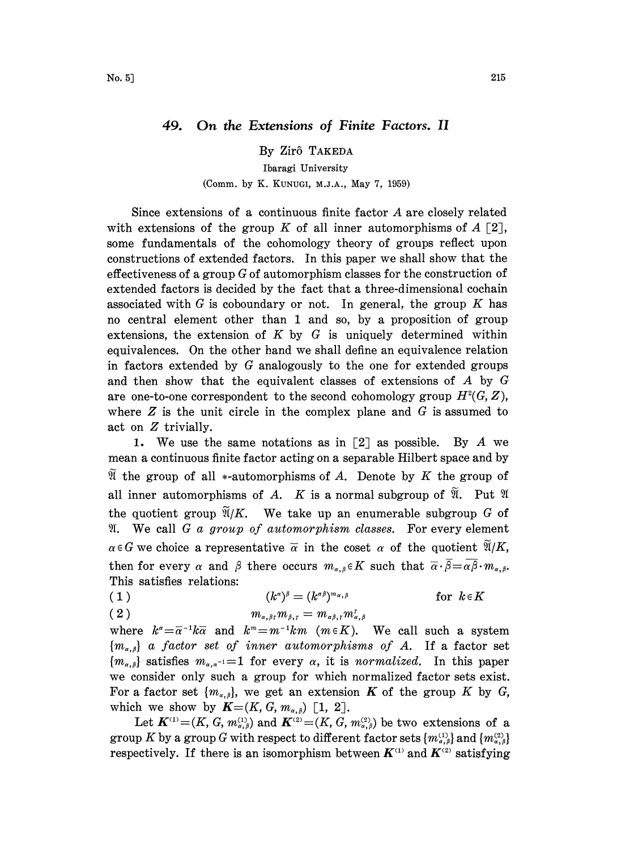## 49. On the Extensions of Finite Factors. II

By Zirô TAKEDA

## Ibaragi University

## (Comm. by K. KUNUGI, M.J.A., May 7, 1959)

Since extensions of <sup>a</sup> continuous finite factor A are closely related with extensions of the group K of all inner automorphisms of  $A \ [2],$ some fundamentals of the cohomology theory of groups reflect upon constructions of extended factors. In this paper we shall show that the effectiveness of a group  $G$  of automorphism classes for the construction of extended factors is decided by the fact that a three-dimensional cochain associated with  $G$  is coboundary or not. In general, the group  $K$  has no central element other than 1 and so, by a proposition of group extensions, the extension of  $K$  by  $G$  is uniquely determined within equivalences. On the other hand we shall define an equivalence relation in factors extended by  $G$  analogously to the one for extended groups and then show that the equivalent classes of extensions of A by G are one-to-one correspondent to the second cohomology group  $H^2(G, Z)$ , where  $Z$  is the unit circle in the complex plane and  $G$  is assumed to act on Z trivially.

1. We use the same notations as in  $\lceil 2 \rceil$  as possible. By A we mean a continuous finite factor acting on a separable Hilbert space and by If the group of all  $*$ -automorphisms of A. Denote by K the group of all inner automorphisms of A. K is a normal subgroup of  $\mathfrak{A}$ . Put  $\mathfrak{A}$ the quotient group  $\widetilde{\mathfrak{A}}/K$ . We take up an enumerable subgroup G of  $\mathfrak{A}$ . We call G a group of automorphism classes. For every element  $\alpha \in G$  we choice a representative  $\overline{\alpha}$  in the coset  $\alpha$  of the quotient  $\mathfrak{A}/K$ , then for every  $\alpha$  and  $\beta$  there occurs  $m_{\alpha,\beta} \in K$  such that  $\overline{\alpha} \cdot \overline{\beta} = \alpha \overline{\beta} \cdot m_{\alpha,\beta}$ . This satisfies relations:

(1) 
$$
(k^{\alpha})^{\beta} = (k^{\alpha \beta})^{m_{\alpha,\beta}}
$$
 for  $k \in K$ 

$$
(2) \t\t\t m_{\alpha,\beta\gamma} m_{\beta,\gamma} = m_{\alpha\beta,\gamma} m_{\alpha}^{\gamma}
$$

where  $k^{\alpha} = \overline{\alpha}^{-1}k\overline{\alpha}$  and  $k^{\alpha} = m^{-1}km$  ( $m \in K$ ). We call such a system  ${m_{\alpha,\beta}}$  a factor set of inner automorphisms of A. If a factor set  ${m_{\alpha,\beta}}$  satisfies  $m_{\alpha,\alpha^{-1}}=1$  for every  $\alpha$ , it is normalized. In this paper we consider only such a group for which normalized factor sets exist. For a factor set  $\{m_{\alpha,\beta}\}\)$ , we get an extension **K** of the group K by G, which we show by  $\mathbf{K}=(K, G, m_{\alpha,\beta})$  [1, 2].

Let  $\mathbf{K}^{(1)} = (K, G, m_{\alpha,\beta}^{(1)})$  and  $\mathbf{K}^{(2)} = (K, \vec{G}, m_{\alpha,\beta}^{(2)})$  be two extensions of a group K by a group G with respect to different factor sets  $\{m_{\alpha,\beta}^{(1)}\}$  and  $\{m_{\alpha,\beta}^{(2)}\}$ respectively. If there is an isomorphism between  $K^{(1)}$  and  $K^{(2)}$  satisfying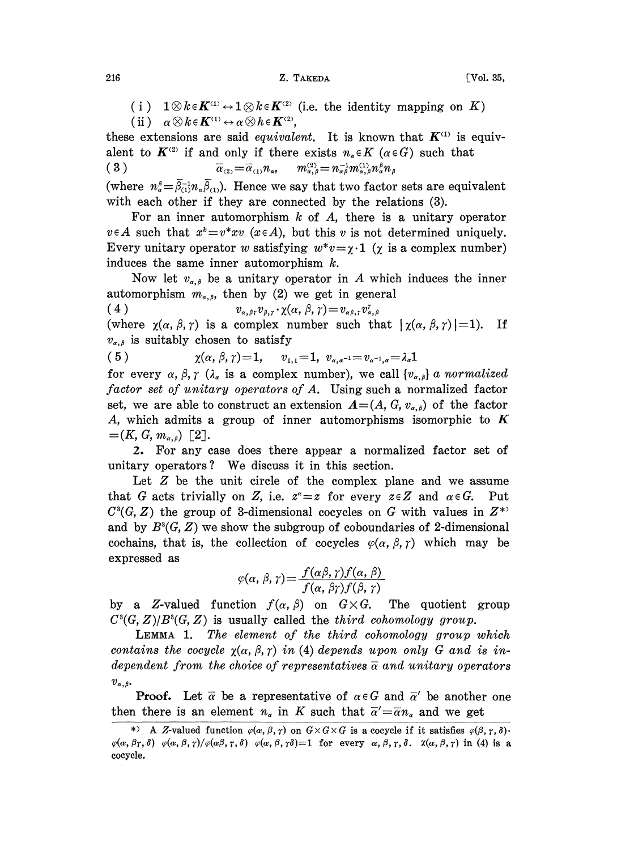(i)  $1 \otimes k \in K^{(1)} \leftrightarrow 1 \otimes k \in K^{(2)}$  (i.e. the identity mapping on K) (ii)  $\alpha \otimes k \in K^{(1)} \leftrightarrow \alpha \otimes h \in K^{(2)}$ ,

these extensions are said *equivalent*. It is known that  $K^{(1)}$  is equivalent to  $K^{(2)}$  if and only if there exists  $n_{\alpha} \in K$  ( $\alpha \in G$ ) such that  $(3)$  $\overline{\alpha}_{(2)} = \overline{\alpha}_{(1)} n_{\alpha}$ ,  $m_{\alpha,\beta}^{(2)} = n_{\alpha\beta}^{-1} m_{\alpha,\beta}^{(1)} n_{\alpha}^{\beta} n_{\beta}$ 

(where  $n_{\alpha}^{\beta} = \bar{\beta}_{(1)}^{\beta} n_{\alpha} \bar{\beta}_{(1)}$ ). Hence we say that two factor sets are equivalent with each other if they are connected by the relations (3).

For an inner automorphism  $k$  of  $A$ , there is a unitary operator  $v \in A$  such that  $x^k = v^*xv$  ( $x \in A$ ), but this v is not determined uniquely. Every unitary operator w satisfying  $w^*v = \chi \cdot 1$  ( $\chi$  is a complex number) induces the same inner automorphism  $k$ .

Now let  $v_{\alpha,\beta}$  be a unitary operator in A which induces the inner automorphism  $m_{\alpha,\beta}$ , then by (2) we get in general

$$
(4) \t v_{\alpha,\beta\gamma}v_{\beta,\gamma}\cdot \chi(\alpha,\beta,\gamma)=v_{\alpha\beta,\gamma}v_{\alpha,\beta}^{\gamma}
$$

(where  $\chi(\alpha, \beta, \gamma)$  is a complex number such that  $|\chi(\alpha, \beta, \gamma)|=1$ ). If  $v_{\alpha,\beta}$  is suitably chosen to satisfy

 $(5)$  $\chi(\alpha, \beta, \gamma) = 1,$   $v_{1,1} = 1, v_{\alpha, \alpha^{-1}} = v_{\alpha^{-1}, \alpha} = \lambda_{\alpha} 1$ 

for every  $\alpha$ ,  $\beta$ ,  $\gamma$  ( $\lambda_{\alpha}$  is a complex number), we call  $\{v_{\alpha,\beta}\}\alpha$  normalized factor set of unitary operators of A. Using such a normalized factor set, we are able to construct an extension  $A=(A, G, v_{\alpha,\beta})$  of the factor A, which admits a group of inner automorphisms isomorphic to  $K$  $=(K, G, m_{\alpha,\beta})$  [2].

2. For any case does there appear a normalized factor set of unitary operators? We discuss it in this section.

Let  $Z$  be the unit circle of the complex plane and we assume that G acts trivially on Z, i.e.  $z^* = z$  for every  $z \in Z$  and  $\alpha \in G$ . Put  $C<sup>3</sup>(G, Z)$  the group of 3-dimensional cocycles on G with values in  $Z^*$ and by  $B^3(G, Z)$  we show the subgroup of coboundaries of 2-dimensional cochains, that is, the collection of cocycles  $\varphi(\alpha, \beta, \gamma)$  which may be expressed as

$$
\varphi(\alpha, \beta, \gamma) = \frac{f(\alpha\beta, \gamma) f(\alpha, \beta)}{f(\alpha, \beta\gamma) f(\beta, \gamma)}
$$

by a Z-valued function  $f(\alpha, \beta)$  on  $G \times G$ . The quotient group  $C<sup>3</sup>(G, Z)/B<sup>3</sup>(G, Z)$  is usually called the *third cohomology group*.

LEMMA 1. The element of the third cohomology group which contains the cocycle  $\chi(\alpha, \beta, \gamma)$  in (4) depends upon only G and is independent from the choice of representatives  $\overline{\alpha}$  and unitary operators  $v_{\alpha,\beta}$ .

**Proof.** Let  $\overline{\alpha}$  be a representative of  $\alpha \in G$  and  $\overline{\alpha}'$  be another one then there is an element  $n_{\alpha}$  in K such that  $\overline{\alpha}' = \overline{\alpha} n_{\alpha}$  and we get

216

<sup>\*)</sup> A Z-valued function  $\varphi(\alpha, \beta, \gamma)$  on  $G \times G \times G$  is a cocycle if it satisfies  $\varphi(\beta, \gamma, \delta)$ .  $\varphi(\alpha, \beta\gamma, \delta)$   $\varphi(\alpha, \beta, \gamma)/\varphi(\alpha\beta, \gamma, \delta)$   $\varphi(\alpha, \beta, \gamma\delta)=1$  for every  $\alpha, \beta, \gamma, \delta$ .  $\chi(\alpha, \beta, \gamma)$  in (4) is a cocycle.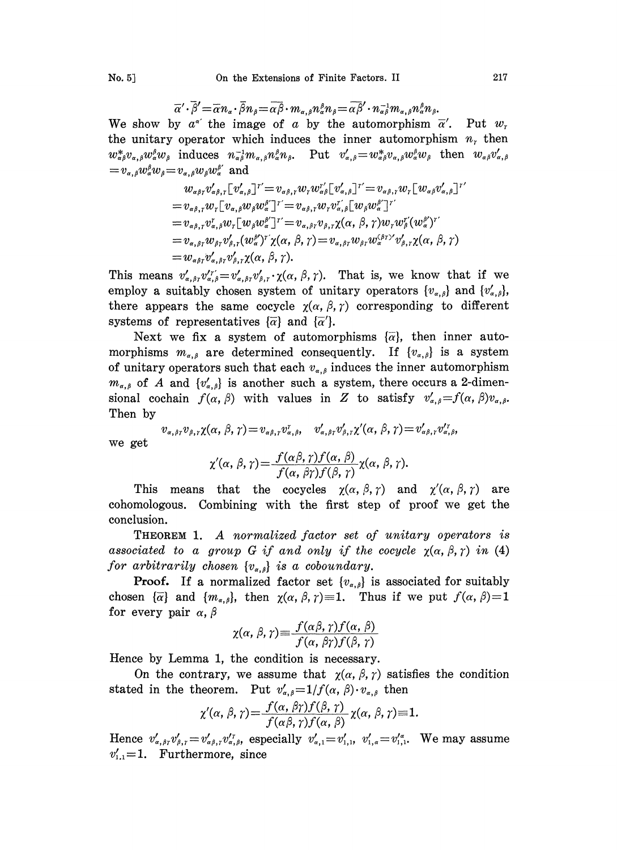$$
\overline{\alpha}'\cdot\overline{\beta}'=\overline{\alpha}n_{\alpha}\cdot\overline{\beta}n_{\beta}=\overline{\alpha\beta}\cdot m_{\alpha,\beta}n_{\alpha}^{\beta}n_{\beta}=\overline{\alpha\beta}'\cdot n_{\alpha\beta}^{-1}m_{\alpha,\beta}n_{\alpha}^{\beta}n_{\beta}.
$$

We show by  $a^{\alpha'}$  the image of a by the automorphism  $\overline{\alpha}'$ . Put  $w_r$ the unitary operator which induces the inner automorphism  $n<sub>r</sub>$  then  $w_{\alpha\beta}^*v_{\alpha,\beta}w_{\alpha}^{\beta}w_{\beta}$  induces  $n_{\alpha\beta}^{-1}m_{\alpha,\beta}n_{\alpha}^{\beta}n_{\beta}$ . Put  $v'_{\alpha,\beta}=w_{\alpha\beta}^*v_{\alpha,\beta}w_{\alpha}^{\beta}w_{\beta}$  then  $w_{\alpha\beta}v'_{\alpha,\beta}$  $=v_{\alpha,\beta}w_{\alpha}^{\beta}w_{\beta} = v_{\alpha,\beta}w_{\beta}w_{\alpha}^{\beta'}$  and

$$
w_{\alpha\beta\gamma}v'_{\alpha\beta,\gamma}[v'_{\alpha,\beta}]^{r'} = v_{\alpha\beta,\gamma}w_{\gamma}w_{\alpha\beta}^{r'}[v'_{\alpha,\beta}]^{r'} = v_{\alpha\beta,\gamma}w_{\gamma}[w_{\alpha\beta}v'_{\alpha,\beta}]^{r'}
$$
  
\n
$$
= v_{\alpha\beta,\gamma}w_{\gamma}[v_{\alpha,\beta}w_{\beta}w_{\alpha}^{k'}]^{r'} = v_{\alpha\beta,\gamma}w_{\gamma}v_{\alpha,\beta}^{r'}[w_{\beta}w_{\alpha}^{k'}]^{r'}
$$
  
\n
$$
= v_{\alpha\beta,\gamma}v_{\alpha,\beta}^{r}w_{\gamma}[w_{\beta}w_{\alpha}^{k'}]^{r'} = v_{\alpha,\beta\gamma}v_{\beta,\gamma}\chi(\alpha,\beta,\gamma)w_{\gamma}w_{\beta}^{r'}(w_{\alpha}^{k'})^{r'}
$$
  
\n
$$
= v_{\alpha,\beta\gamma}w_{\beta\gamma}v'_{\beta,\gamma}(w_{\alpha}^{k'})^{r'}\chi(\alpha,\beta,\gamma) = v_{\alpha,\beta\gamma}w_{\beta\gamma}w_{\alpha}^{(\beta\gamma)}v'_{\beta,\gamma}\chi(\alpha,\beta,\gamma)
$$
  
\n
$$
= w_{\alpha\beta\gamma}v'_{\alpha,\beta\gamma}v'_{\beta,\gamma}\chi(\alpha,\beta,\gamma).
$$

This means  $v'_{\alpha,\beta\gamma}v''_{\alpha,\beta}=v'_{\alpha,\beta\gamma}v'_{\beta,\gamma}\cdot \chi(\alpha,\beta,\gamma).$  That is, we know that if we employ a suitably chosen system of unitary operators  $\{v_{\alpha,\beta}\}\$  and  $\{v'_{\alpha,\beta}\}\$ , there appears the same cocycle  $\chi(\alpha, \beta, \gamma)$  corresponding to different systems of representatives  $\{\overline{\alpha}\}\$  and  $\{\overline{\alpha}'\}\$ .

Next we fix a system of automorphisms  $\{\overline{\alpha}\}\$ , then inner automorphisms  $m_{\alpha,\beta}$  are determined consequently. If  $\{v_{\alpha,\beta}\}\)$  is a system of unitary operators such that each  $v_{\alpha,\beta}$  induces the inner automorphism  $m_{\alpha,\beta}$  of A and  $\{v'_{\alpha,\beta}\}\)$  is another such a system, there occurs a 2-dimensional cochain  $f(\alpha, \beta)$  with values in Z to satisfy  $v'_{\alpha, \beta} = f(\alpha, \beta)v_{\alpha, \beta}$ . Then by

$$
v_{\alpha,\beta\gamma}v_{\beta,\gamma}\chi(\alpha,\beta,\gamma)=v_{\alpha\beta,\gamma}v_{\alpha,\beta}^{\gamma},\quad v_{\alpha,\beta\gamma}'v_{\beta,\gamma}'\chi'(\alpha,\beta,\gamma)=v_{\alpha\beta,\gamma}'v_{\alpha,\beta}^{\gamma},
$$

we get

$$
\chi'(\alpha, \beta, \gamma) = \frac{f(\alpha\beta, \gamma) f(\alpha, \beta)}{f(\alpha, \beta\gamma) f(\beta, \gamma)} \chi(\alpha, \beta, \gamma).
$$

This means that the cocycles  $\chi(\alpha, \beta, \gamma)$  and  $\chi'(\alpha, \beta, \gamma)$  are cohomologous. Combining with the first step of proof we get the conclusion.

THEOREM 1. A normalized factor set of unitary operators is associated to a group G if and only if the cocycle  $\chi(\alpha, \beta, \gamma)$  in (4) for arbitrarily chosen  $\{v_{\alpha,\beta}\}\$ is a coboundary.

**Proof.** If a normalized factor set  $\{v_{\alpha,\beta}\}\)$  is associated for suitably chosen  $\{\overline{\alpha}\}\$  and  $\{m_{\alpha,\beta}\}\$ , then  $\chi(\alpha,\beta,\gamma)\equiv 1$ . Thus if we put  $f(\alpha,\beta)=1$ for every pair  $\alpha$ ,  $\beta$ 

$$
\chi(\alpha, \beta, \gamma) \equiv \frac{f(\alpha\beta, \gamma) f(\alpha, \beta)}{f(\alpha, \beta\gamma) f(\beta, \gamma)}
$$

Hence by Lemma 1, the condition is necessary.

On the contrary, we assume that  $\chi(\alpha, \beta, \gamma)$  satisfies the condition stated in the theorem. Put  $v'_{\alpha,\beta}=1/f(\alpha,\beta)\cdot v_{\alpha,\beta}$  then

$$
\chi'(\alpha,\beta,\gamma) = \frac{f(\alpha,\beta\gamma)f(\beta,\gamma)}{f(\alpha\beta,\gamma)f(\alpha,\beta)}\chi(\alpha,\beta,\gamma) = 1.
$$

Hence  $v'_{\alpha,\beta\gamma}v'_{\beta,\gamma}=v'_{\alpha\beta,\gamma}v'^{\gamma}_{\alpha,\beta}$ , especially  $v'_{\alpha,1}=v'_{1,1}$ ,  $v'_{1,\alpha}=v'^{\alpha}_{1,1}$ . We may assume  $v'_{1,1}=1$ . Furthermore, since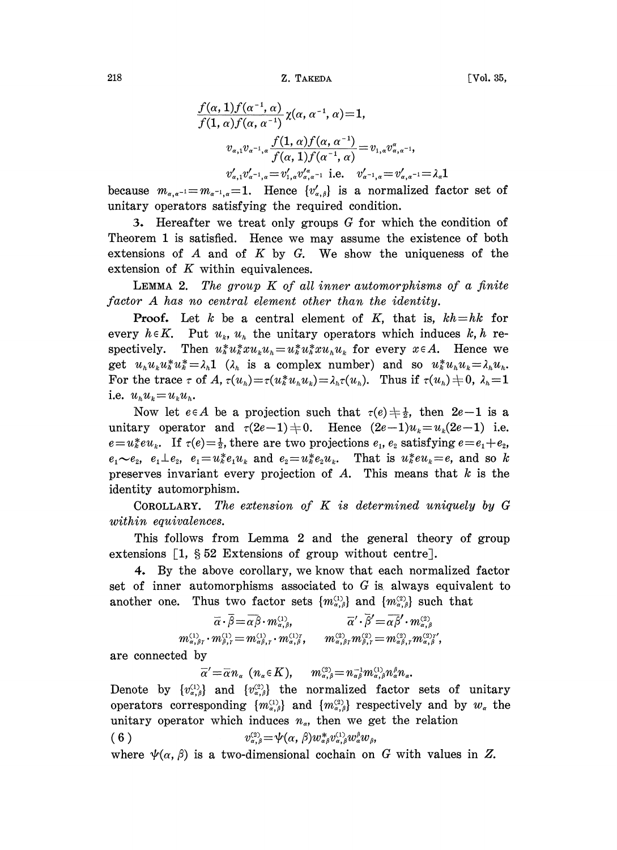$218$  Z. TAKEDA

$$
\frac{f(\alpha, 1)f(\alpha^{-1}, \alpha)}{f(1, \alpha)f(\alpha, \alpha^{-1})} \chi(\alpha, \alpha^{-1}, \alpha) = 1,
$$
\n
$$
v_{\alpha,1}v_{\alpha^{-1}, \alpha} \frac{f(1, \alpha)f(\alpha, \alpha^{-1})}{f(\alpha, 1)f(\alpha^{-1}, \alpha)} = v_{1,\alpha}v_{\alpha, \alpha^{-1}},
$$
\n
$$
v_{\alpha,1}'v_{\alpha^{-1}, \alpha}' = v_{1,\alpha}'v_{\alpha, \alpha^{-1}}' \quad \text{i.e.} \quad v_{\alpha^{-1}, \alpha}' = v_{\alpha, \alpha^{-1}}' = \lambda_{\alpha}1
$$

because  $m_{\alpha,\alpha^{-1}}=m_{\alpha^{-1},\alpha}=1$ . Hence  $\{v'_{\alpha,\beta}\}\$ is a normalized factor set of unitary operators satisfying the required condition.

3. Hereafter we treat only groups  $G$  for which the condition of Theorem <sup>1</sup> is satisfied. Hence we may assume the existence of both extensions of  $A$  and of  $K$  by  $G$ . We show the uniqueness of the extension of  $K$  within equivalences.

**LEMMA 2.** The group  $K$  of all inner automorphisms of a finite

factor A has no central element other than the identity.<br>Proof. Let  $k$  be a central element of  $K$ , that is,  $kh = hk$  for **Proof.** Let k be a central element of K, that is,  $kh = hk$  for<br>every  $h \in K$ . Put  $u_k$ ,  $u_h$  the unitary operators which induces k, h re-<br>spectively. Then  $u_k^* u_k^* x u_k u_h = u_k^* u_k^* x u_h u_k$  for every  $x \in A$ . Hence we<br>oct  $u, u, u^*$ every  $h \in K$ . Put  $u_k$ ,  $u_h$  the unitary operators which induces  $k, h$  respectively. Then  $u_k^* u_k^* x u_k u_k = u_k^* u_k^* x u_k u_k$  for every  $x \in A$ . Hence we get  $u_k u_k u_k^* u_k^* = \lambda_k \mathbf{1}$   $(\lambda_k$  is a complex number) and so  $u_k^* u_k u_k = \lambda_k u_k$ . For the trace  $\tau$  of A,  $\tau(u_h) = \tau(u_h^* u_h u_h) = \lambda_h \tau(u_h)$ . Thus if  $\tau(u_h) = 0$ ,  $\lambda_h = 1$ . i.e.  $u_h u_k = u_k u_h$ .<br>Now let  $e \in A$  be a projection such that  $\tau(e) \neq \frac{1}{2}$ , then  $2e-1$  is a

unitary operator and  $\tau(2e-1)\neq0$ . Hence  $(2e-1)u_k=u_k(2e-1)$  i.e.  $e=u\overset{*}{\mathcal{E}}eu_k$ . If  $\tau(e)=\frac{1}{2}$ , there are two projections  $e_1, e_2$  satisfying  $e=e_1+e_2$ ,  $e_1 \sim e_2$ ,  $e_1 \perp e_2$ ,  $e_1 = u_k^* e_1 u_k$  and  $e_2 = u_k^* e_2 u_k$ . That is  $u_k^* e u_k = e$ , and so k preserves invariant every projection of A. This means that  $k$  is the identity automorphism.

COROLLARY. The extension of  $K$  is determined uniquely by  $G$ within equivalences.

This follows from Lemma 2 and the general theory of group extensions  $[1, § 52$  Extensions of group without centre.

4. By the above corollary, we know that each normalized factor set of inner automorphisms associated to  $G$  is always equivalent to another one. Thus two factor sets  ${m_{\alpha,\beta}^{(1)}}$  and  ${m_{\alpha,\beta}^{(2)}}$  such that

$$
\overline{\alpha} \cdot \overline{\beta} = \overline{\alpha \beta} \cdot m_{\alpha,\beta}^{(1)}, \qquad \overline{\alpha}' \cdot \overline{\beta}' = \overline{\alpha \beta}' \cdot m_{\alpha,\beta}^{(2)}, \n m_{\alpha,\beta\gamma}^{(1)} \cdot m_{\beta,\gamma}^{(1)} = m_{\alpha\beta,\gamma}^{(1)} \cdot m_{\alpha,\beta}^{(1)\gamma}, \qquad m_{\alpha,\beta\gamma}^{(2)} m_{\beta,\gamma}^{(2)} = m_{\alpha\beta,\gamma}^{(2)} m_{\alpha,\beta}^{(2)\gamma'},
$$

are connected by

$$
\overline{\alpha}' = \overline{\alpha} n_{\alpha} \ (n_{\alpha} \in K), \qquad m_{\alpha,\beta}^{(3)} = n_{\alpha\beta}^{-1} m_{\alpha,\beta}^{(1)} n_{\alpha}^{\beta} n_{\alpha}.
$$

Denote by  $\{v_{\alpha,\beta}^{(1)}\}$  and  $\{v_{\alpha,\beta}^{(2)}\}$  the normalized factor sets of unitary operators corresponding  ${m_{\alpha,\beta}^{(1)}}$  and  ${m_{\alpha,\beta}^{(2)}}$  respectively and by  $w_{\alpha}$  the unitary operator which induces  $n_{\alpha}$ , then we get the relation

$$
(6) \t v_{\alpha,\beta}^{(2)} = \psi(\alpha,\beta)w_{\alpha\beta}^*v_{\alpha,\beta}^{(1)}w_{\alpha}^{\beta}w_{\beta},
$$

where  $\psi(\alpha, \beta)$  is a two-dimensional cochain on G with values in Z.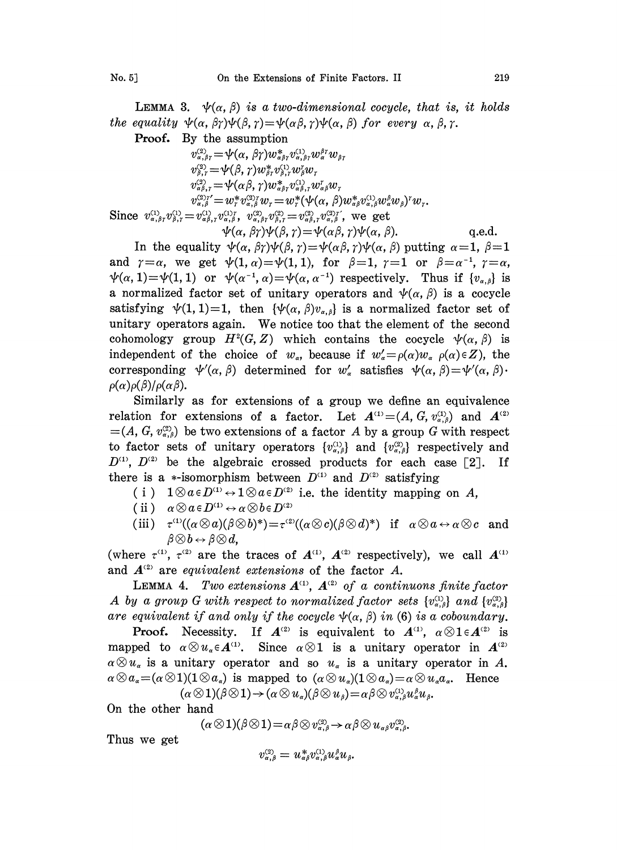**LEMMA 3.**  $\psi(\alpha, \beta)$  is a two-dimensional cocycle, that is, it holds the equality  $\psi(\alpha, \beta\gamma)\psi(\beta, \gamma)=\psi(\alpha\beta, \gamma)\psi(\alpha, \beta)$  for every  $\alpha, \beta, \gamma$ .

Proof. By the assumption

 $v_{\alpha,\beta\gamma}^{(2)} = \psi(\alpha,\beta\gamma)w_{\alpha\beta\gamma}^*v_{\alpha,\beta\gamma}^{(1)}w_{\alpha}^{\beta\gamma}w_{\beta\gamma}^*$  $v_{\beta,r}^{(2)} = \psi(\beta,r) w_{\beta,r}^* v_{\beta,r}^{(1)} w_{\beta}^r w_{r}$  $v_{\alpha\beta,\gamma}^{(2)} = \psi(\alpha\beta,\gamma)w_{\alpha\beta\gamma}^{*}v_{\alpha\beta,\gamma}^{(1)}w_{\alpha\beta}^{r}w_{\gamma}$  $v_{\alpha,\beta}^{(3)\gamma'} = w_{r}^{*}v_{\alpha,\beta}^{(3)\gamma}w_{r} = w_{r}^{*}(\psi(\alpha,\beta)w_{\alpha\beta}^{*}v_{\alpha,\beta}^{(1)}w_{\alpha}^{\beta}w_{\beta})^{r}w_{r}.$ Since  $v_{\alpha,\beta}^{(1)}, v_{\beta,\gamma}^{(1)} = v_{\alpha\beta,\gamma}^{(1)}, v_{\alpha,\beta}^{(1)\tau}, v_{\alpha,\beta\gamma}^{(2)} v_{\beta,\gamma}^{(2)} = v_{\alpha\beta,\gamma}^{(2)} v_{\alpha,\beta}^{(3)\tau}$ , we get  $\psi(\alpha, \beta\gamma)\psi(\beta, \gamma) = \psi(\alpha\beta, \gamma)\psi(\alpha, \beta).$  q.e.d.

In the equality  $\psi(\alpha, \beta\gamma)\psi(\beta, \gamma)=\psi(\alpha\beta, \gamma)\psi(\alpha, \beta)$  putting  $\alpha=1, \beta=1$ and  $\gamma=\alpha$ , we get  $\psi(1,\alpha)=\psi(1,1)$ , for  $\beta=1$ ,  $\gamma=1$  or  $\beta=\alpha^{-1}$ ,  $\gamma=\alpha$ ,  $\psi(\alpha, 1) = \psi(1, 1)$  or  $\psi(\alpha^{-1}, \alpha) = \psi(\alpha, \alpha^{-1})$  respectively. Thus if  ${v_{\alpha, \beta}}$  is a normalized factor set of unitary operators and  $\psi(\alpha, \beta)$  is a cocycle satisfying  $\psi(1, 1)=1$ , then  $\{\psi(\alpha, \beta)v_{\alpha, \beta}\}\)$  is a normalized factor set of unitary operators again. We notice too that the element of the second cohomology group  $H^2(G, Z)$  which contains the cocycle  $\psi(\alpha, \beta)$  is independent of the choice of  $w_{\alpha}$ , because if  $w'_{\alpha} = \rho(\alpha)w_{\alpha}$   $\rho(\alpha) \in Z$ , the corresponding  $\psi'(\alpha, \beta)$  determined for  $w'_\alpha$  satisfies  $\psi(\alpha, \beta) = \psi'(\alpha, \beta) \cdot \rho(\alpha)\rho(\beta)/\rho(\alpha\beta)$ .

Similarly as for extensions of a group we define an equivalence Similarly as for extensions of a group we define an equivalent<br>relation for extensions of a factor. Let  $A^{(1)} = (A, G, v_{\alpha,\beta}^{(1)})$  and A  $=(A, G, v_{\alpha,\beta}^{\alpha})$  be two extensions of a factor A by a group G with respect to factor sets of unitary operators  $\{v_{\alpha,\beta}^{(1)}\}$  and  $\{v_{\alpha,\beta}^{(2)}\}$  respectively and  $D^{(1)}$ ,  $D^{(2)}$  be the algebraic crossed products for each case [2]. If there is a \*-isomorphism between  $D^{(1)}$  and  $D^{(2)}$  satisfying

- $1 \otimes a \in D^{\text{(1)}} \leftrightarrow 1 \otimes a \in D^{\text{(2)}}$  i.e. the identity mapping on A,
- 
- (ii)  $\alpha \otimes a \in D^{(1)} \leftrightarrow \alpha \otimes b \in D^{(2)}$ <br>(iii)  $\tau^{(1)}((\alpha \otimes a)(\beta \otimes b)^*)=\tau^{(2)}((\alpha \otimes c)(\beta \otimes d)^*)$  if  $\alpha \otimes a \leftrightarrow \alpha \otimes c$  and  $\beta \otimes b \leftrightarrow \beta \otimes d$ ,

(where  $\tau^{(1)}$ ,  $\tau^{(2)}$  are the traces of  $A^{(1)}$ ,  $A^{(2)}$  respectively), we call A and  $A^{(2)}$  are equivalent extensions of the factor A.

LEMMA 4. Two extensions  $A^{(1)}$ ,  $A^{(2)}$  of a continuons finite factor A by a group G with respect to normalized factor sets  $\{v_{\alpha,\beta}^{(1)}\}$  and  $\{v_{\alpha,\beta}^{(2)}\}$ are equivalent if and only if the cocycle  $\psi(\alpha, \beta)$  in (6) is a coboundary.

**Proof.** Necessity. If  $A^{(2)}$  is equivalent to  $A^{(1)}$ ,  $\alpha \otimes 1 \in A^{(2)}$  is mapped to  $\alpha \otimes u_{\alpha} \in A^{(1)}$ . Since  $\alpha \otimes 1$  is a unitary operator in  $A^{(2)}$  $\alpha \otimes u_{\alpha}$  is a unitary operator and so  $u_{\alpha}$  is a unitary operator in A.  $\alpha \otimes a_{\alpha} = (\alpha \otimes 1)(1 \otimes a_{\alpha})$  is mapped to  $(\alpha \otimes u_{\alpha})(1 \otimes a_{\alpha}) = \alpha \otimes u_{\alpha}a_{\alpha}$ . Hence

 $(\alpha \otimes 1)(\beta \otimes 1) \rightarrow (\alpha \otimes u_{\alpha})(\beta \otimes u_{\beta}) = \alpha \beta \otimes v_{\alpha,\beta}^{(1)} u_{\beta}^{\beta} u_{\beta}.$ 

0n the other hand

$$
(\alpha \otimes 1)(\beta \otimes 1) = \alpha \beta \otimes v_{\alpha,\beta}^{(3)} \rightarrow \alpha \beta \otimes u_{\alpha\beta}v_{\alpha,\beta}^{(3)}.
$$

Thus we get

$$
v_{\alpha,\beta}^{\scriptscriptstyle (2)}=u_{\alpha\beta}^*v_{\alpha,\beta}^{\scriptscriptstyle (1)}u_{\alpha}^{\beta}u_{\beta}.
$$